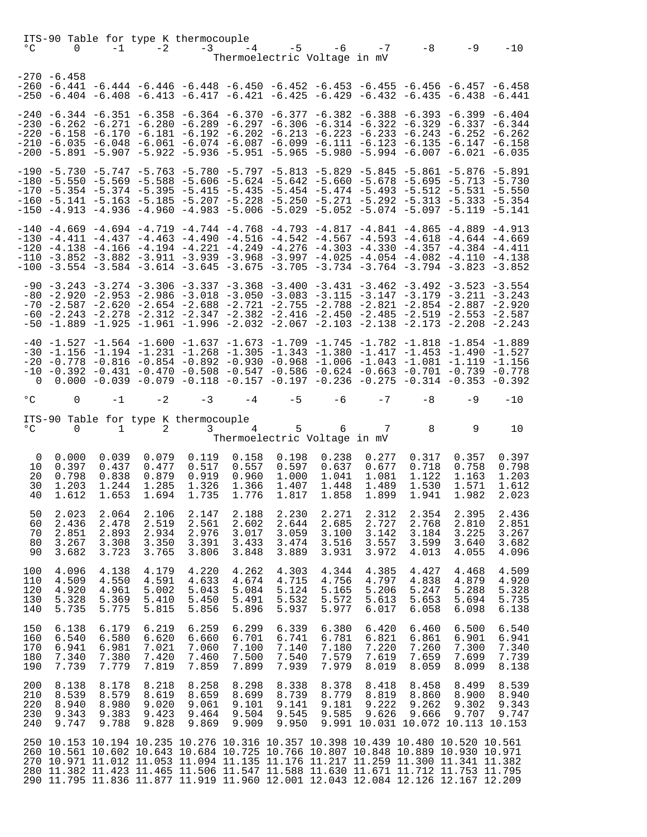| $^{\circ}$ C                    | ITS-90 Table for type K thermocouple<br>$\overline{0}$ | $-1$                                      | $-2$                                      | $-3$                                                                                   | $-4$                                      |                                           | $-5 - 6$<br>Thermoelectric Voltage in mV  | $-7$                                                                  | -8                                        | $-9$                                      | $-10$                                                                                                                                                                                                                                                                                                                                                                                                                                                                                                                                                    |
|---------------------------------|--------------------------------------------------------|-------------------------------------------|-------------------------------------------|----------------------------------------------------------------------------------------|-------------------------------------------|-------------------------------------------|-------------------------------------------|-----------------------------------------------------------------------|-------------------------------------------|-------------------------------------------|----------------------------------------------------------------------------------------------------------------------------------------------------------------------------------------------------------------------------------------------------------------------------------------------------------------------------------------------------------------------------------------------------------------------------------------------------------------------------------------------------------------------------------------------------------|
|                                 | $-270 - 6.458$                                         |                                           |                                           |                                                                                        |                                           |                                           |                                           |                                                                       |                                           |                                           | -260 -6.441 -6.444 -6.446 -6.448 -6.450 -6.452 -6.453 -6.455 -6.456 -6.457 -6.458<br>-250 -6.404 -6.408 -6.413 -6.417 -6.421 -6.425 -6.429 -6.432 -6.435 -6.438 -6.441                                                                                                                                                                                                                                                                                                                                                                                   |
|                                 |                                                        |                                           |                                           |                                                                                        |                                           |                                           |                                           |                                                                       |                                           |                                           | -240 -6.344 -6.351 -6.358 -6.364 -6.370 -6.377 -6.382 -6.388 -6.393 -6.399 -6.404<br>-230 -6.262 -6.271 -6.280 -6.289 -6.297 -6.306 -6.314 -6.322 -6.329 -6.337 -6.344<br>-220 -6.158 -6.170 -6.181 -6.192 -6.202 -6.213 -6.223 -6.233 -6.243 -6.252 -6.262<br>$-210$ $-6.035$ $-6.048$ $-6.061$ $-6.074$ $-6.087$ $-6.099$ $-6.111$ $-6.123$ $-6.135$ $-6.147$ $-6.158$<br>$-200$ $-5.891$ $-5.907$ $-5.922$ $-5.936$ $-5.951$ $-5.965$ $-5.980$ $-5.994$ $-6.007$ $-6.021$ $-6.035$                                                                    |
|                                 |                                                        |                                           |                                           |                                                                                        |                                           |                                           |                                           |                                                                       |                                           |                                           | -190 -5.730 -5.747 -5.763 -5.780 -5.797 -5.813 -5.829 -5.845 -5.861 -5.876 -5.891<br>$-180$ $-5.550$ $-5.569$ $-5.588$ $-5.606$ $-5.624$ $-5.642$ $-5.660$ $-5.678$ $-5.695$ $-5.713$ $-5.730$<br>$-170$ $-5.354$ $-5.374$ $-5.395$ $-5.415$ $-5.435$ $-5.454$ $-5.474$ $-5.493$ $-5.512$ $-5.531$ $-5.550$<br>-160 -5.141 -5.163 -5.185 -5.207 -5.228 -5.250 -5.271 -5.292 -5.313 -5.333 -5.354<br>$-150$ $-4.913$ $-4.936$ $-4.960$ $-4.983$ $-5.006$ $-5.029$ $-5.052$ $-5.074$ $-5.097$ $-5.119$ $-5.141$                                            |
|                                 |                                                        |                                           |                                           |                                                                                        |                                           |                                           |                                           |                                                                       |                                           |                                           | -140 -4.669 -4.694 -4.719 -4.744 -4.768 -4.793 -4.817 -4.841 -4.865 -4.889 -4.913<br>$-130$ $-4.411$ $-4.437$ $-4.463$ $-4.490$ $-4.516$ $-4.542$ $-4.567$ $-4.593$ $-4.618$ $-4.644$ $-4.669$<br>-120 -4.138 -4.166 -4.194 -4.221 -4.249 -4.276 -4.303 -4.330 -4.357 -4.384 -4.411<br>$-110$ $-3.852$ $-3.882$ $-3.911$ $-3.939$ $-3.968$ $-3.997$ $-4.025$ $-4.054$ $-4.082$ $-4.110$ $-4.138$<br>$-100$ $-3.554$ $-3.584$ $-3.614$ $-3.645$ $-3.675$ $-3.705$ $-3.734$ $-3.764$ $-3.794$ $-3.823$ $-3.852$                                            |
|                                 |                                                        |                                           |                                           |                                                                                        |                                           |                                           |                                           |                                                                       |                                           |                                           | $-90$ $-3.243$ $-3.274$ $-3.306$ $-3.337$ $-3.368$ $-3.400$ $-3.431$ $-3.462$ $-3.492$ $-3.523$ $-3.554$<br>$-80$ $-2.920$ $-2.953$ $-2.986$ $-3.018$ $-3.050$ $-3.083$ $-3.115$ $-3.147$ $-3.179$ $-3.211$ $-3.243$<br>$-70$ $-2.587$ $-2.620$ $-2.654$ $-2.688$ $-2.721$ $-2.755$ $-2.788$ $-2.821$ $-2.854$ $-2.887$ $-2.920$<br>$-60$ $-2.243$ $-2.278$ $-2.312$ $-2.347$ $-2.382$ $-2.416$ $-2.450$ $-2.485$ $-2.519$ $-2.553$ $-2.587$<br>$-50$ $-1.889$ $-1.925$ $-1.961$ $-1.996$ $-2.032$ $-2.067$ $-2.103$ $-2.138$ $-2.173$ $-2.208$ $-2.243$ |
| 0                               |                                                        |                                           |                                           | $-40$ $-1.527$ $-1.564$ $-1.600$ $-1.637$ $-1.673$ $-1.709$ $-1.745$ $-1.782$ $-1.818$ |                                           |                                           |                                           |                                                                       |                                           |                                           | -1.854 -1.889<br>$-30$ $-1.156$ $-1.194$ $-1.231$ $-1.268$ $-1.305$ $-1.343$ $-1.380$ $-1.417$ $-1.453$ $-1.490$ $-1.527$<br>$-20$ $-0.778$ $-0.816$ $-0.854$ $-0.892$ $-0.930$ $-0.968$ $-1.006$ $-1.043$ $-1.081$ $-1.119$ $-1.156$<br>$-10$ $-0.392$ $-0.431$ $-0.470$ $-0.508$ $-0.547$ $-0.586$ $-0.624$ $-0.663$ $-0.701$ $-0.739$ $-0.778$<br>$0.000 - 0.039 - 0.079 - 0.118 - 0.157 - 0.197 - 0.236 - 0.275 - 0.314 - 0.353 - 0.392$                                                                                                             |
| $^{\circ}$ C                    | $\overline{0}$                                         | $-1$                                      | $-2$ $-3$                                 |                                                                                        | $-4$                                      | $-5$                                      | -6                                        | $-7$                                                                  | $-8$                                      | -9                                        | $-10$                                                                                                                                                                                                                                                                                                                                                                                                                                                                                                                                                    |
|                                 |                                                        |                                           |                                           |                                                                                        |                                           |                                           |                                           |                                                                       |                                           |                                           |                                                                                                                                                                                                                                                                                                                                                                                                                                                                                                                                                          |
| $^{\circ}$ C                    | $\overline{0}$                                         | $\mathbf{1}$                              | 2                                         | ITS-90 Table for type K thermocouple<br>3                                              | $\overline{4}$                            | 5                                         | 6<br>Thermoelectric Voltage in mV         | 7 <sup>7</sup>                                                        | $\overline{\phantom{0}}$                  | 9                                         | 10                                                                                                                                                                                                                                                                                                                                                                                                                                                                                                                                                       |
| 0<br>10<br>20<br>30<br>40       | 0.000<br>0.397<br>0.798<br>1.203<br>1.612              | 0.039<br>0.437<br>0.838<br>1.244<br>1.653 | 0.079<br>0.477<br>0.879<br>1.285<br>1.694 | 0.119<br>0.517<br>0.919<br>1.326<br>1.735                                              | 0.158<br>0.557<br>0.960<br>1.366<br>1.776 | 0.198<br>0.597<br>1.000<br>1.407<br>1.817 | 0.238<br>0.637<br>1.041<br>1.448<br>1.858 | 0.277<br>0.677<br>1.081<br>1.489<br>1.899                             | 0.317<br>0.718<br>1.122<br>1.530<br>1.941 | 0.357<br>0.758<br>1.163<br>1.571<br>1.982 | 0.397<br>0.798<br>1.203<br>1.612<br>2.023                                                                                                                                                                                                                                                                                                                                                                                                                                                                                                                |
| 50<br>60<br>70<br>80<br>90      | 2.023<br>2.436<br>2.851<br>3.267<br>3.682              | 2.064<br>2.478<br>2.893<br>3.308<br>3.723 | 2.106<br>2.519<br>2.934<br>3.350<br>3.765 | 2.147<br>2.561<br>2.976<br>3.391<br>3.806                                              | 2.188<br>2.602<br>3.017<br>3.433<br>3.848 | 2.230<br>2.644<br>3.059<br>3.474<br>3.889 | 2.271<br>2.685<br>3.100<br>3.516<br>3.931 | 2.312<br>2.727<br>3.142<br>3.557<br>3.972                             | 2.354<br>2.768<br>3.184<br>3.599<br>4.013 | 2.395<br>2.810<br>3.225<br>3.640<br>4.055 | 2.436<br>2.851<br>3.267<br>3.682<br>4.096                                                                                                                                                                                                                                                                                                                                                                                                                                                                                                                |
| 100<br>110<br>120<br>130<br>140 | 4.096<br>4.509<br>4.920<br>5.328<br>5.735              | 4.138<br>4.550<br>4.961<br>5.369<br>5.775 | 4.179<br>4.591<br>5.002<br>5.410<br>5.815 | 4.220<br>4.633<br>5.043<br>5.450<br>5.856                                              | 4.262<br>4.674<br>5.084<br>5.491<br>5.896 | 4.303<br>4.715<br>5.124<br>5.532<br>5.937 | 4.344<br>4.756<br>5.165<br>5.572<br>5.977 | 4.385<br>4.797<br>5.206<br>5.613<br>6.017                             | 4.427<br>4.838<br>5.247<br>5.653<br>6.058 | 4.468<br>4.879<br>5.288<br>5.694<br>6.098 | 4.509<br>4.920<br>5.328<br>5.735<br>6.138                                                                                                                                                                                                                                                                                                                                                                                                                                                                                                                |
| 150<br>160<br>170<br>180<br>190 | 6.138<br>6.540<br>6.941<br>7.340<br>7.739              | 6.179<br>6.580<br>6.981<br>7.380<br>7.779 | 6.219<br>6.620<br>7.021<br>7.420<br>7.819 | 6.259<br>6.660<br>7.060<br>7.460<br>7.859                                              | 6.299<br>6.701<br>7.100<br>7.500<br>7.899 | 6.339<br>6.741<br>7.140<br>7.540<br>7.939 | 6.380<br>6.781<br>7.180<br>7.579<br>7.979 | 6.420<br>6.821<br>7.220<br>7.619<br>8.019                             | 6.460<br>6.861<br>7.260<br>7.659<br>8.059 | 6.500<br>6.901<br>7.300<br>7.699<br>8.099 | 6.540<br>6.941<br>7.340<br>7.739<br>8.138                                                                                                                                                                                                                                                                                                                                                                                                                                                                                                                |
| 200<br>210<br>220<br>230<br>240 | 8.138<br>8.539<br>8.940<br>9.343<br>9.747              | 8.178<br>8.579<br>8.980<br>9.383<br>9.788 | 8.218<br>8.619<br>9.020<br>9.423<br>9.828 | 8.258<br>8.659<br>9.061<br>9.464<br>9.869                                              | 8.298<br>8.699<br>9.101<br>9.504<br>9.909 | 8.338<br>8.739<br>9.141<br>9.545<br>9.950 | 8.378<br>8.779<br>9.181<br>9.585          | 8.418<br>8.819<br>9.222<br>9.626<br>9.991 10.031 10.072 10.113 10.153 | 8.458<br>8.860<br>9.262<br>9.666          | 8.499<br>8.900<br>9.302<br>9.707          | 8.539<br>8.940<br>9.343<br>9.747                                                                                                                                                                                                                                                                                                                                                                                                                                                                                                                         |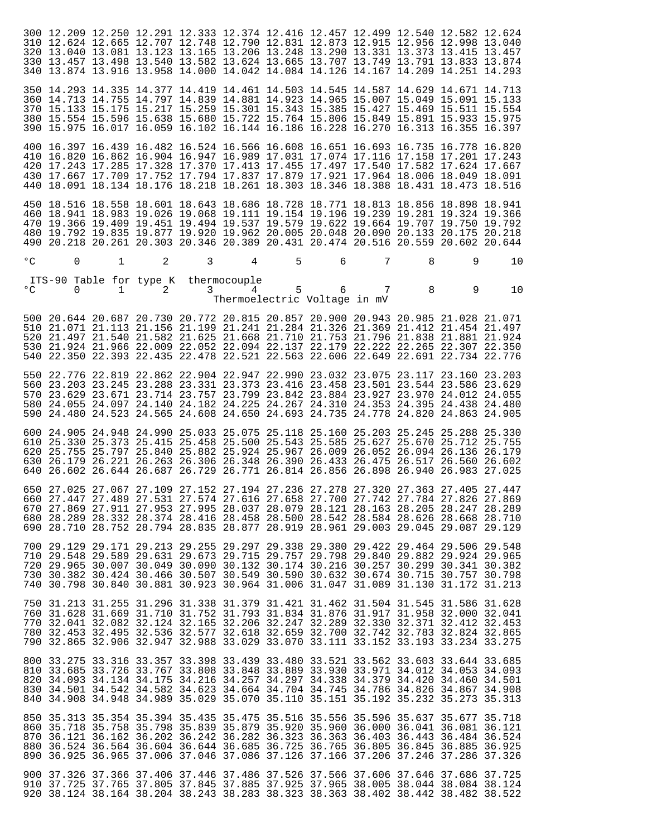|              |                                               |                        |                                       |   |                   |   |                                                                                                                                                                                                                                                                                                                                                        |   |   | 300 12.209 12.250 12.291 12.333 12.374 12.416 12.457 12.499 12.540 12.582 12.624<br>310 12.624 12.665 12.707 12.748 12.790 12.831 12.873 12.915 12.956 12.998 13.040<br>320 13.040 13.081 13.123 13.165 13.206 13.248 13.290 13.331 13.373 13.415 13.457<br>330 13.457 13.498 13.540 13.582 13.624 13.665 13.707 13.749 13.791 13.833 13.874<br>340 13.874 13.916 13.958 14.000 14.042 14.084 14.126 14.167 14.209 14.251 14.293 |                            |
|--------------|-----------------------------------------------|------------------------|---------------------------------------|---|-------------------|---|--------------------------------------------------------------------------------------------------------------------------------------------------------------------------------------------------------------------------------------------------------------------------------------------------------------------------------------------------------|---|---|----------------------------------------------------------------------------------------------------------------------------------------------------------------------------------------------------------------------------------------------------------------------------------------------------------------------------------------------------------------------------------------------------------------------------------|----------------------------|
|              |                                               |                        |                                       |   |                   |   |                                                                                                                                                                                                                                                                                                                                                        |   |   | 350 14.293 14.335 14.377 14.419 14.461 14.503 14.545 14.587 14.629 14.671 14.713<br>360 14.713 14.755 14.797 14.839 14.881 14.923 14.965 15.007 15.049 15.091 15.133<br>370 15.133 15.175 15.217 15.259 15.301 15.343 15.385 15.427 15.469 15.511 15.554<br>380 15.554 15.596 15.638 15.680 15.722 15.764 15.806 15.849 15.891 15.933 15.975<br>390 15.975 16.017 16.059 16.102 16.144 16.186 16.228 16.270 16.313 16.355 16.397 |                            |
|              |                                               |                        |                                       |   |                   |   |                                                                                                                                                                                                                                                                                                                                                        |   |   | 400 16.397 16.439 16.482 16.524 16.566 16.608 16.651 16.693 16.735 16.778 16.820<br>410 16.820 16.862 16.904 16.947 16.989 17.031 17.074 17.116 17.158 17.201 17.243<br>420 17.243 17.285 17.328 17.370 17.413 17.455 17.497 17.540 17.582 17.624 17.667<br>430 17.667 17.709 17.752 17.794 17.837 17.879 17.921 17.964 18.006 18.049 18.091<br>440 18.091 18.134 18.176 18.218 18.261 18.303 18.346 18.388 18.431 18.473 18.516 |                            |
|              |                                               |                        |                                       |   |                   |   |                                                                                                                                                                                                                                                                                                                                                        |   |   | 450 18.516 18.558 18.601 18.643 18.686 18.728 18.771 18.813 18.856 18.898 18.941<br>460 18.941 18.983 19.026 19.068 19.111 19.154 19.196 19.239 19.281 19.324 19.366<br>470 19.366 19.409 19.451 19.494 19.537 19.579 19.622 19.664 19.707 19.750 19.792<br>480 19.792 19.835 19.877 19.920 19.962 20.005 20.048 20.090 20.133 20.175 20.218<br>490 20.218 20.261 20.303 20.346 20.389 20.431 20.474 20.516 20.559 20.602 20.644 |                            |
| $\circ$ C    | $\mathbf 0$                                   | $\mathbf{1}$           | 2                                     | 3 | 4                 | 5 | 6                                                                                                                                                                                                                                                                                                                                                      | 7 | 8 | 9                                                                                                                                                                                                                                                                                                                                                                                                                                | $10 \,$                    |
| $^{\circ}$ C | $\Omega$                                      | $1 \quad \blacksquare$ | ITS-90 Table for type K<br>2          | 3 | thermocouple<br>4 | 5 | 6<br>Thermoelectric Voltage in mV                                                                                                                                                                                                                                                                                                                      | 7 | 8 | 9                                                                                                                                                                                                                                                                                                                                                                                                                                | 10                         |
|              |                                               |                        |                                       |   |                   |   |                                                                                                                                                                                                                                                                                                                                                        |   |   | 500 20.644 20.687 20.730 20.772 20.815 20.857 20.900 20.943 20.985 21.028 21.071<br>510 21.071 21.113 21.156 21.199 21.241 21.284 21.326 21.369 21.412 21.454 21.497<br>520 21.497 21.540 21.582 21.625 21.668 21.710 21.753 21.796 21.838 21.881 21.924<br>530 21.924 21.966 22.009 22.052 22.094 22.137 22.179 22.222 22.265 22.307 22.350<br>540 22.350 22.393 22.435 22.478 22.521 22.563 22.606 22.649 22.691 22.734 22.776 |                            |
|              |                                               |                        |                                       |   |                   |   |                                                                                                                                                                                                                                                                                                                                                        |   |   | 550 22.776 22.819 22.862 22.904 22.947 22.990 23.032 23.075 23.117 23.160 23.203<br>560 23.203 23.245 23.288 23.331 23.373 23.416 23.458 23.501 23.544 23.586 23.629<br>570 23.629 23.671 23.714 23.757 23.799 23.842 23.884 23.927 23.970 24.012 24.055<br>580 24.055 24.097 24.140 24.182 24.225 24.267 24.310 24.353 24.395 24.438 24.480<br>590 24.480 24.523 24.565 24.608 24.650 24.693 24.735 24.778 24.820 24.863 24.905 |                            |
| 640          |                                               |                        |                                       |   |                   |   | 26.602 26.644 26.687 26.729 26.771 26.814 26.856 26.898 26.940                                                                                                                                                                                                                                                                                         |   |   | 600 24.905 24.948 24.990 25.033 25.075 25.118 25.160 25.203 25.245 25.288 25.330<br>610 25.330 25.373 25.415 25.458 25.500 25.543 25.585 25.627 25.670 25.712 25.755<br>620 25.755 25.797 25.840 25.882 25.924 25.967 26.009 26.052 26.094 26.136 26.179<br>630 26.179 26.221 26.263 26.306 26.348 26.390 26.433 26.475 26.517 26.560 26.602<br>26.983 27.025                                                                    |                            |
|              |                                               |                        |                                       |   |                   |   |                                                                                                                                                                                                                                                                                                                                                        |   |   | 650 27.025 27.067 27.109 27.152 27.194 27.236 27.278 27.320 27.363 27.405 27.447<br>660 27.447 27.489 27.531 27.574 27.616 27.658 27.700 27.742 27.784 27.826 27.869<br>670 27.869 27.911 27.953 27.995 28.037 28.079 28.121 28.163 28.205 28.247 28.289<br>680 28.289 28.332 28.374 28.416 28.458 28.500 28.542 28.584 28.626 28.668 28.710<br>690 28.710 28.752 28.794 28.835 28.877 28.919 28.961 29.003 29.045 29.087 29.129 |                            |
| 740          |                                               |                        | 30.798 30.840 30.881 30.923           |   |                   |   | 30.964 31.006 31.047 31.089 31.130                                                                                                                                                                                                                                                                                                                     |   |   | 700 29.129 29.171 29.213 29.255 29.297 29.338 29.380 29.422 29.464 29.506 29.548<br>710 29.548 29.589 29.631 29.673 29.715 29.757 29.798 29.840 29.882 29.924 29.965<br>720 29.965 30.007 30.049 30.090 30.132 30.174 30.216 30.257 30.299 30.341 30.382<br>730 30.382 30.424 30.466 30.507 30.549 30.590 30.632 30.674 30.715 30.757 30.798<br>31.172 31.213                                                                    |                            |
|              | 760 31.628<br>770 32.041 32.082<br>790 32.865 |                        | 31.669 31.710 31.752<br>32.124 32.165 |   |                   |   | 750 31.213 31.255 31.296 31.338 31.379 31.421 31.462 31.504 31.545<br>31.793 31.834 31.876 31.917 31.958<br>32.206 32.247 32.289 32.330 32.371                                                                                                                                                                                                         |   |   | 31.586<br>32.000<br>32.412<br>780 32.453 32.495 32.536 32.577 32.618 32.659 32.700 32.742 32.783 32.824 32.865<br>32.906 32.947 32.988 33.029 33.070 33.111 33.152 33.193 33.234 33.275                                                                                                                                                                                                                                          | 31.628<br>32.041<br>32.453 |
| 840          | 810 33.685                                    |                        | 820 34.093 34.134 34.175 34.216       |   |                   |   | 33.726 33.767 33.808 33.848 33.889 33.930 33.971 34.012 34.053<br>34.257 34.297 34.338 34.379 34.420<br>830 34.501 34.542 34.582 34.623 34.664 34.704 34.745 34.786 34.826<br>34.908 34.948 34.989 35.029 35.070 35.110 35.151 35.192 35.232 35.273                                                                                                    |   |   | 800 33.275 33.316 33.357 33.398 33.439 33.480 33.521 33.562 33.603 33.644 33.685<br>34.460<br>34.867 34.908                                                                                                                                                                                                                                                                                                                      | 34.093<br>34.501<br>35.313 |
|              | 890 36.925                                    |                        |                                       |   |                   |   | 850 35.313 35.354 35.394 35.435 35.475 35.516 35.556 35.596 35.637 35.677<br>860 35.718 35.758 35.798 35.839 35.879 35.920 35.960 36.000 36.041<br>870 36.121 36.162 36.202 36.242 36.282 36.323 36.363 36.403 36.443<br>880 36.524 36.564 36.604 36.644 36.685 36.725 36.765 36.805 36.845<br>36.965 37.006 37.046 37.086 37.126 37.166 37.206 37.246 |   |   | 36.081 36.121<br>36.484 36.524<br>36.885<br>37.286                                                                                                                                                                                                                                                                                                                                                                               | 35.718<br>36.925<br>37.326 |
|              |                                               |                        |                                       |   |                   |   | 900 37.326 37.366 37.406 37.446 37.486 37.526 37.566 37.606 37.646 37.686                                                                                                                                                                                                                                                                              |   |   | 910 37.725 37.765 37.805 37.845 37.885 37.925 37.965 38.005 38.044 38.084 38.124<br>920 38.124 38.164 38.204 38.243 38.283 38.323 38.363 38.402 38.442 38.482 38.522                                                                                                                                                                                                                                                             | 37.725                     |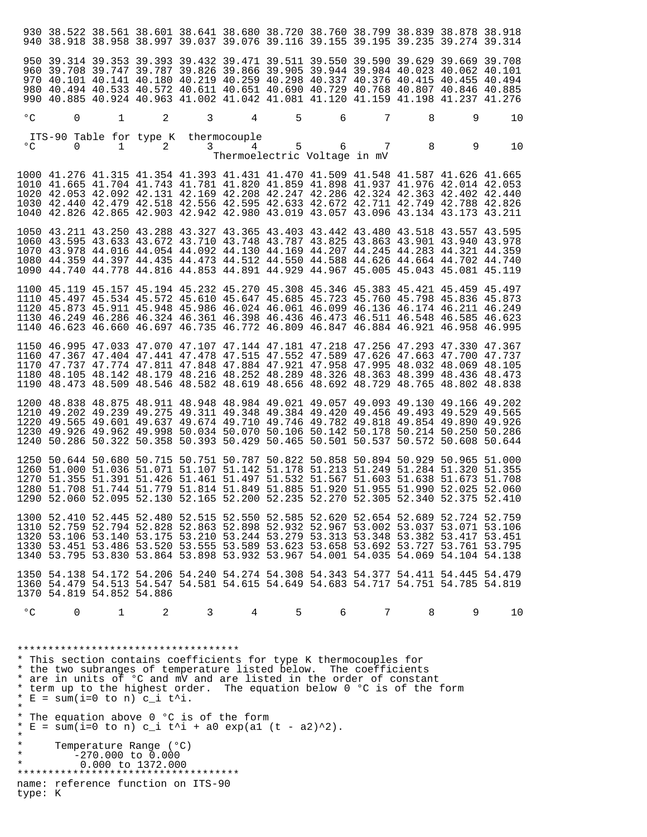|                                          |                                               |                                                                                                                                                                                                                                                                                          |                        |   |                   |   | 930 38.522 38.561 38.601 38.641 38.680 38.720 38.760 38.799 38.839 38.878 38.918<br>940 38.918 38.958 38.997 39.037 39.076 39.116 39.155 39.195 39.235 39.274 39.314                                                                                                                                                                                                                                                                  |                                                            |   |               |        |
|------------------------------------------|-----------------------------------------------|------------------------------------------------------------------------------------------------------------------------------------------------------------------------------------------------------------------------------------------------------------------------------------------|------------------------|---|-------------------|---|---------------------------------------------------------------------------------------------------------------------------------------------------------------------------------------------------------------------------------------------------------------------------------------------------------------------------------------------------------------------------------------------------------------------------------------|------------------------------------------------------------|---|---------------|--------|
|                                          |                                               |                                                                                                                                                                                                                                                                                          |                        |   |                   |   | 950 39.314 39.353 39.393 39.432 39.471 39.511 39.550 39.590 39.629 39.669 39.708<br>960 39.708 39.747 39.787 39.826 39.866 39.905 39.944 39.984 40.023 40.062 40.101<br>970 40.101 40.141 40.180 40.219 40.259 40.298 40.337 40.376 40.415<br>980 40.494 40.533 40.572 40.611 40.651 40.690 40.729 40.768 40.807 40.846 40.885<br>990 40.885 40.924 40.963 41.002 41.042 41.081 41.120 41.159 41.198 41.237 41.276                    |                                                            |   | 40.455 40.494 |        |
| $^{\circ}$ C                             | 0                                             | $\mathbf{1}$                                                                                                                                                                                                                                                                             | 2                      | 3 | 4                 | 5 | 6                                                                                                                                                                                                                                                                                                                                                                                                                                     | 7                                                          | 8 | 9             | 10     |
| $^{\circ}$                               | $\Omega$                                      | ITS-90 Table for type K                                                                                                                                                                                                                                                                  | $1 \qquad \qquad$<br>2 | 3 | thermocouple<br>4 | 5 | Thermoelectric Voltage in mV                                                                                                                                                                                                                                                                                                                                                                                                          | $\begin{array}{ccccccccc}\n6 & & & 7 & & & 8\n\end{array}$ |   | 9             | 10     |
|                                          |                                               |                                                                                                                                                                                                                                                                                          |                        |   |                   |   | 1000 41.276 41.315 41.354 41.393 41.431 41.470 41.509 41.548 41.587 41.626 41.665<br>1010 41.665 41.704 41.743 41.781 41.820 41.859 41.898 41.937 41.976 42.014 42.053<br>1020 42.053 42.092 42.131 42.169 42.208 42.247 42.286 42.324 42.363 42.402 42.440<br>1030 42.440 42.479 42.518 42.556 42.595 42.633 42.672 42.711 42.749 42.788 42.826<br>1040 42.826 42.865 42.903 42.942 42.980 43.019 43.057 43.096 43.134 43.173 43.211 |                                                            |   |               |        |
|                                          |                                               |                                                                                                                                                                                                                                                                                          |                        |   |                   |   | 1050 43.211 43.250 43.288 43.327 43.365 43.403 43.442 43.480 43.518 43.557 43.595<br>1060 43.595 43.633 43.672 43.710 43.748 43.787 43.825 43.863 43.901 43.940 43.978<br>1070 43.978 44.016 44.054 44.092 44.130 44.169 44.207 44.245 44.283 44.321 44.359<br>1080 44.359 44.397 44.435 44.473 44.512 44.550 44.588 44.626 44.664 44.702 44.740<br>1090 44.740 44.778 44.816 44.853 44.891 44.929 44.967 45.005 45.043 45.081 45.119 |                                                            |   |               |        |
|                                          |                                               |                                                                                                                                                                                                                                                                                          |                        |   |                   |   | 1100 45.119 45.157 45.194 45.232 45.270 45.308 45.346 45.383 45.421 45.459 45.497<br>1110 45.497 45.534 45.572 45.610 45.647 45.685 45.723 45.760 45.798<br>1120 45.873 45.911 45.948 45.986 46.024 46.061 46.099 46.136 46.174 46.211 46.249<br>1130 46.249 46.286 46.324 46.361 46.398 46.436 46.473 46.511 46.548 46.585 46.623<br>1140 46.623 46.660 46.697 46.735 46.772 46.809 46.847 46.884 46.921 46.958 46.995               |                                                            |   | 45.836 45.873 |        |
|                                          |                                               |                                                                                                                                                                                                                                                                                          |                        |   |                   |   | 1150 46.995 47.033 47.070 47.107 47.144 47.181 47.218 47.256 47.293 47.330 47.367<br>1160 47.367 47.404 47.441 47.478 47.515 47.552 47.589 47.626 47.663 47.700 47.737<br>1170 47.737 47.774 47.811 47.848 47.884 47.921 47.958 47.995 48.032 48.069 48.105<br>1180 48.105 48.142 48.179 48.216 48.252 48.289 48.326 48.363 48.399 48.436 48.473<br>1190 48.473 48.509 48.546 48.582 48.619 48.656 48.692 48.729 48.765 48.802 48.838 |                                                            |   |               |        |
|                                          |                                               |                                                                                                                                                                                                                                                                                          |                        |   |                   |   | 1200 48.838 48.875 48.911 48.948 48.984 49.021 49.057 49.093 49.130 49.166 49.202<br>1210 49.202 49.239 49.275 49.311 49.348 49.384 49.420 49.456 49.493 49.529 49.565<br>1220 49.565 49.601 49.637 49.674 49.710 49.746 49.782 49.818 49.854 49.890 49.926<br>1230 49.926 49.962 49.998 50.034 50.070 50.106 50.142 50.178 50.214 50.250 50.286<br>1240 50.286 50.322 50.358 50.393 50.429 50.465 50.501 50.537 50.572 50.608 50.644 |                                                            |   |               |        |
|                                          |                                               |                                                                                                                                                                                                                                                                                          |                        |   |                   |   | 1250 50.644 50.680 50.715 50.751 50.787 50.822 50.858 50.894 50.929 50.965 51.000<br>1260 51.000 51.036 51.071 51.107 51.142 51.178 51.213 51.249 51.284 51.320 51.355<br>1270 51.355 51.391 51.426 51.461 51.497 51.532 51.567 51.603 51.638 51.673 51.708<br>1280 51.708 51.744 51.779 51.814 51.849 51.885 51.920 51.955 51.990 52.025<br>1290 52.060 52.095 52.130 52.165 52.200 52.235 52.270 52.305 52.340 52.375 52.410        |                                                            |   |               | 52.060 |
|                                          |                                               |                                                                                                                                                                                                                                                                                          |                        |   |                   |   | 1300 52.410 52.445 52.480 52.515 52.550 52.585 52.620 52.654 52.689 52.724 52.759<br>1310 52.759 52.794 52.828 52.863 52.898 52.932 52.967 53.002 53.037 53.071 53.106<br>1320 53.106 53.140 53.175 53.210 53.244 53.279 53.313 53.348 53.382 53.417 53.451<br>1330 53.451 53.486 53.520 53.555 53.589 53.623 53.658 53.692 53.727 53.761 53.795<br>1340 53.795 53.830 53.864 53.898 53.932 53.967 54.001 54.035 54.069 54.104 54.138 |                                                            |   |               |        |
|                                          |                                               | 1370 54.819 54.852 54.886                                                                                                                                                                                                                                                                |                        |   |                   |   | 1350 54.138 54.172 54.206 54.240 54.274 54.308 54.343 54.377 54.411 54.445 54.479<br>1360 54.479 54.513 54.547 54.581 54.615 54.649 54.683 54.717 54.751 54.785 54.819                                                                                                                                                                                                                                                                |                                                            |   |               |        |
| $^{\circ}$ C                             | $\Omega$                                      | 1                                                                                                                                                                                                                                                                                        | 2                      | 3 | 4                 | 5 | 6                                                                                                                                                                                                                                                                                                                                                                                                                                     | 7                                                          | 8 | 9             | 10     |
| $\star$<br>$\star$<br>$\star$<br>$\star$ |                                               | ************************************<br>* E = sum(i=0 to n) c_i t^i.<br>* The equation above 0 °C is of the form<br>* E = sum(i=0 to n) c i t^i + a0 exp(a1 (t - a2)^2).<br>Temperature Range (°C)<br>$-270.000$ to $0.000$<br>0.000 to 1372.000<br>************************************ |                        |   |                   |   | * This section contains coefficients for type K thermocouples for<br>* the two subranges of temperature listed below. The coefficients<br>* are in units of °C and mV and are listed in the order of constant<br>* term up to the highest order. The equation below 0 °C is of the form                                                                                                                                               |                                                            |   |               |        |
|                                          | name: reference function on ITS-90<br>type: K |                                                                                                                                                                                                                                                                                          |                        |   |                   |   |                                                                                                                                                                                                                                                                                                                                                                                                                                       |                                                            |   |               |        |